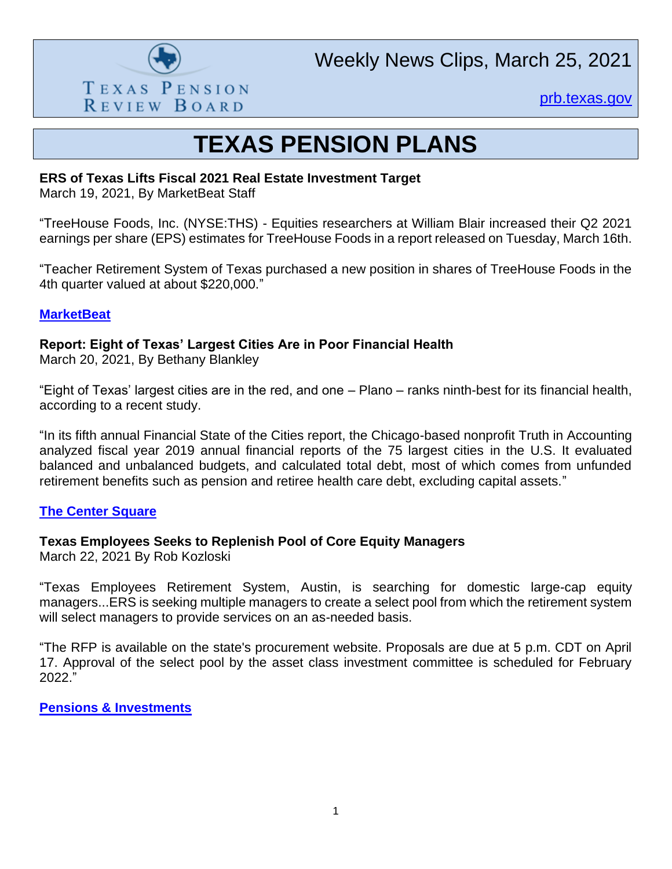

[prb.texas.gov](http://www.prb.texas.gov/)

# **TEXAS PENSION PLANS**

#### **ERS of Texas Lifts Fiscal 2021 Real Estate Investment Target**

March 19, 2021, By MarketBeat Staff

"TreeHouse Foods, Inc. (NYSE:THS) - Equities researchers at William Blair increased their Q2 2021 earnings per share (EPS) estimates for TreeHouse Foods in a report released on Tuesday, March 16th.

"Teacher Retirement System of Texas purchased a new position in shares of TreeHouse Foods in the 4th quarter valued at about \$220,000."

#### **[MarketBeat](https://www.marketbeat.com/instant-alerts/nyse-ths-analyst-earnings-estimates-2021-03/)**

**Report: Eight of Texas' Largest Cities Are in Poor Financial Health**

March 20, 2021, By Bethany Blankley

"Eight of Texas' largest cities are in the red, and one – Plano – ranks ninth-best for its financial health, according to a recent study.

"In its fifth annual Financial State of the Cities report, the Chicago-based nonprofit Truth in Accounting analyzed fiscal year 2019 annual financial reports of the 75 largest cities in the U.S. It evaluated balanced and unbalanced budgets, and calculated total debt, most of which comes from unfunded retirement benefits such as pension and retiree health care debt, excluding capital assets."

#### **[The Center Square](https://www.thecentersquare.com/texas/report-eight-of-texas-largest-cities-are-in-poor-financial-health/article_7cf3d6a8-8732-11eb-9c0d-3777939491f5.html)**

## **Texas Employees Seeks to Replenish Pool of Core Equity Managers**

March 22, 2021 By Rob Kozloski

"Texas Employees Retirement System, Austin, is searching for domestic large-cap equity managers...ERS is seeking multiple managers to create a select pool from which the retirement system will select managers to provide services on an as-needed basis.

"The RFP is available on the state's procurement website. Proposals are due at 5 p.m. CDT on April 17. Approval of the select pool by the asset class investment committee is scheduled for February 2022."

**[Pensions & Investments](https://www.pionline.com/searches-and-hires/texas-employees-seeks-replenish-pool-core-equity-managers?adobe_mc=MCMID%3D41884159650771433693420557059774859130%7CMCORGID%3D138FFF2554E6E7220A4C98C6%2540AdobeOrg%7CTS%3D1616600112&CSAuthResp=1%3A%3A409840%3A391%3A24%3Asuccess%3A316E41556E55CE7ADB4974CC90DC80E5)**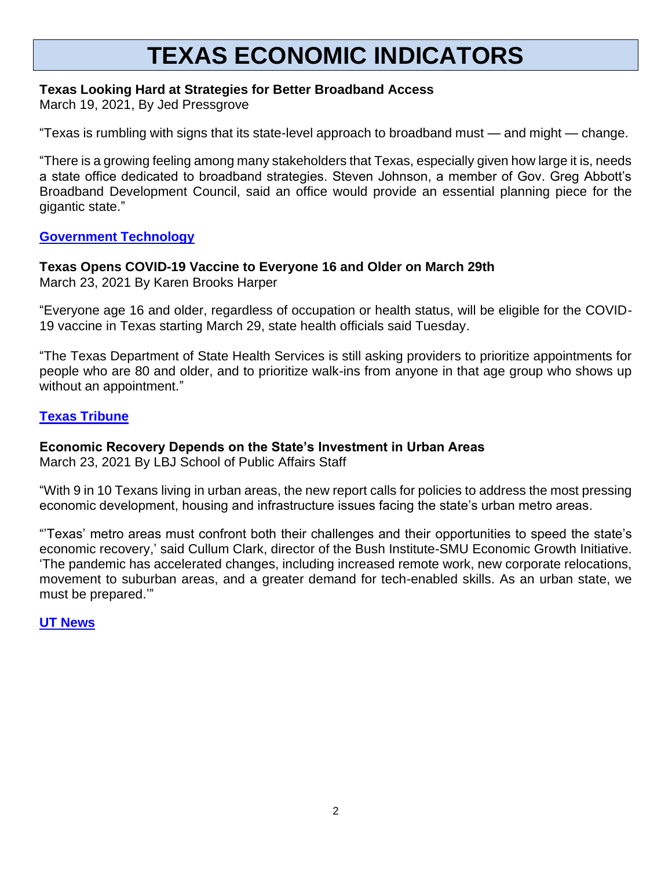# **TEXAS ECONOMIC INDICATORS**

#### **Texas Looking Hard at Strategies for Better Broadband Access**

March 19, 2021, By Jed Pressgrove

"Texas is rumbling with signs that its state-level approach to broadband must — and might — change.

"There is a growing feeling among many stakeholders that Texas, especially given how large it is, needs a state office dedicated to broadband strategies. Steven Johnson, a member of Gov. Greg Abbott's Broadband Development Council, said an office would provide an essential planning piece for the gigantic state."

#### **[Government Technology](https://www.govtech.com/network/Texas-Looking-Hard-at-Strategies-for-Better-Broadband-Access.html)**

#### **Texas Opens COVID-19 Vaccine to Everyone 16 and Older on March 29th**

March 23, 2021 By Karen Brooks Harper

"Everyone age 16 and older, regardless of occupation or health status, will be eligible for the COVID-19 vaccine in Texas starting March 29, state health officials said Tuesday.

"The Texas Department of State Health Services is still asking providers to prioritize appointments for people who are 80 and older, and to prioritize walk-ins from anyone in that age group who shows up without an appointment."

#### **[Texas Tribune](https://www.texastribune.org/2021/03/23/texans-eligible-covid-vaccine/)**

## **Economic Recovery Depends on the State's Investment in Urban Areas**

March 23, 2021 By LBJ School of Public Affairs Staff

"With 9 in 10 Texans living in urban areas, the new report calls for policies to address the most pressing economic development, housing and infrastructure issues facing the state's urban metro areas.

"'Texas' metro areas must confront both their challenges and their opportunities to speed the state's economic recovery,' said Cullum Clark, director of the Bush Institute-SMU Economic Growth Initiative. 'The pandemic has accelerated changes, including increased remote work, new corporate relocations, movement to suburban areas, and a greater demand for tech-enabled skills. As an urban state, we must be prepared.'"

**[UT News](https://news.utexas.edu/2021/03/23/economic-recovery-depends-on-the-states-investment-in-urban-areas/)**